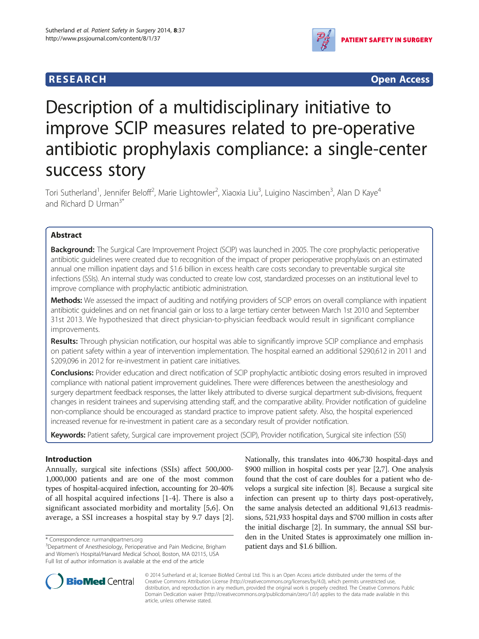# **RESEARCH RESEARCH** *CHECKER CHECKER CHECKER CHECKER CHECKER CHECKER CHECKER CHECKER CHECKER CHECKER CHECKER*



# Description of a multidisciplinary initiative to improve SCIP measures related to pre-operative antibiotic prophylaxis compliance: a single-center success story

Tori Sutherland<sup>1</sup>, Jennifer Beloff<sup>2</sup>, Marie Lightowler<sup>2</sup>, Xiaoxia Liu<sup>3</sup>, Luigino Nascimben<sup>3</sup>, Alan D Kaye<sup>4</sup> and Richard D Urman<sup>3\*</sup>

# Abstract

Background: The Surgical Care Improvement Project (SCIP) was launched in 2005. The core prophylactic perioperative antibiotic guidelines were created due to recognition of the impact of proper perioperative prophylaxis on an estimated annual one million inpatient days and \$1.6 billion in excess health care costs secondary to preventable surgical site infections (SSIs). An internal study was conducted to create low cost, standardized processes on an institutional level to improve compliance with prophylactic antibiotic administration.

Methods: We assessed the impact of auditing and notifying providers of SCIP errors on overall compliance with inpatient antibiotic guidelines and on net financial gain or loss to a large tertiary center between March 1st 2010 and September 31st 2013. We hypothesized that direct physician-to-physician feedback would result in significant compliance improvements.

Results: Through physician notification, our hospital was able to significantly improve SCIP compliance and emphasis on patient safety within a year of intervention implementation. The hospital earned an additional \$290,612 in 2011 and \$209,096 in 2012 for re-investment in patient care initiatives.

**Conclusions:** Provider education and direct notification of SCIP prophylactic antibiotic dosing errors resulted in improved compliance with national patient improvement guidelines. There were differences between the anesthesiology and surgery department feedback responses, the latter likely attributed to diverse surgical department sub-divisions, frequent changes in resident trainees and supervising attending staff, and the comparative ability. Provider notification of guideline non-compliance should be encouraged as standard practice to improve patient safety. Also, the hospital experienced increased revenue for re-investment in patient care as a secondary result of provider notification.

Keywords: Patient safety, Surgical care improvement project (SCIP), Provider notification, Surgical site infection (SSI)

# Introduction

Annually, surgical site infections (SSIs) affect 500,000- 1,000,000 patients and are one of the most common types of hospital-acquired infection, accounting for 20-40% of all hospital acquired infections [\[1](#page-6-0)-[4\]](#page-6-0). There is also a significant associated morbidity and mortality [\[5,6](#page-6-0)]. On average, a SSI increases a hospital stay by 9.7 days [[2](#page-6-0)]. Nationally, this translates into 406,730 hospital-days and \$900 million in hospital costs per year [\[2,7](#page-6-0)]. One analysis found that the cost of care doubles for a patient who develops a surgical site infection [\[8\]](#page-6-0). Because a surgical site infection can present up to thirty days post-operatively, the same analysis detected an additional 91,613 readmissions, 521,933 hospital days and \$700 million in costs after the initial discharge [[2\]](#page-6-0). In summary, the annual SSI burden in the United States is approximately one million inpatient days and \$1.6 billion.



© 2014 Sutherland et al.; licensee BioMed Central Ltd. This is an Open Access article distributed under the terms of the Creative Commons Attribution License (<http://creativecommons.org/licenses/by/4.0>), which permits unrestricted use, distribution, and reproduction in any medium, provided the original work is properly credited. The Creative Commons Public Domain Dedication waiver [\(http://creativecommons.org/publicdomain/zero/1.0/\)](http://creativecommons.org/publicdomain/zero/1.0/) applies to the data made available in this article, unless otherwise stated.

<sup>\*</sup> Correspondence: [rurman@partners.org](mailto:rurman@partners.org) <sup>3</sup>

<sup>&</sup>lt;sup>3</sup>Department of Anesthesiology, Perioperative and Pain Medicine, Brigham and Women's Hospital/Harvard Medical School, Boston, MA 02115, USA Full list of author information is available at the end of the article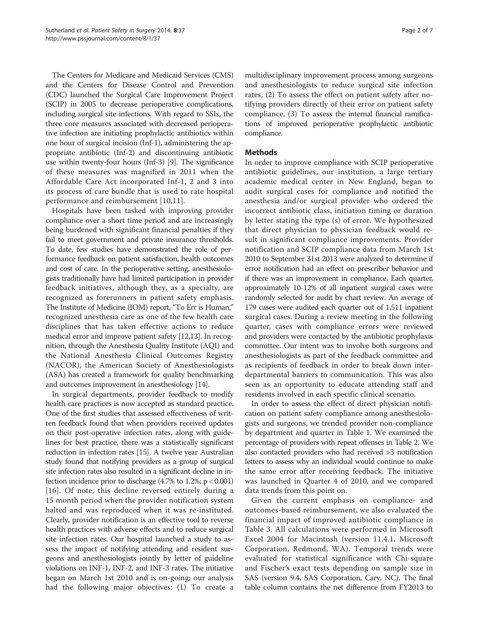The Centers for Medicare and Medicaid Services (CMS) and the Centers for Disease Control and Prevention (CDC) launched the Surgical Care Improvement Project (SCIP) in 2005 to decrease perioperative complications, including surgical site infections. With regard to SSIs, the three core measures associated with decreased perioperative infection are initiating prophylactic antibiotics within one hour of surgical incision (Inf-1), administering the appropriate antibiotic (Inf-2) and discontinuing antibiotic use within twenty-four hours (Inf-3) [\[9](#page-6-0)]. The significance of these measures was magnified in 2011 when the Affordable Care Act incorporated Inf-1, 2 and 3 into its process of care bundle that is used to rate hospital performance and reimbursement [[10](#page-6-0),[11\]](#page-6-0).

Hospitals have been tasked with improving provider compliance over a short time period and are increasingly being burdened with significant financial penalties if they fail to meet government and private insurance thresholds. To date, few studies have demonstrated the role of performance feedback on patient satisfaction, health outcomes and cost of care. In the perioperative setting, anesthesiologists traditionally have had limited participation in provider feedback initiatives, although they, as a specialty, are recognized as forerunners in patient safety emphasis. The Institute of Medicine (IOM) report, "To Err is Human," recognized anesthesia care as one of the few health care disciplines that has taken effective actions to reduce medical error and improve patient safety [[12,13](#page-6-0)]. In recognition, through the Anesthesia Quality Institute (AQI) and the National Anesthesia Clinical Outcomes Registry (NACOR), the American Society of Anesthesiologists (ASA) has created a framework for quality benchmarking and outcomes improvement in anesthesiology [\[14\]](#page-6-0).

In surgical departments, provider feedback to modify health care practices is now accepted as standard practice. One of the first studies that assessed effectiveness of written feedback found that when providers received updates on their post-operative infection rates, along with guidelines for best practice, there was a statistically significant reduction in infection rates [\[15\]](#page-6-0). A twelve year Australian study found that notifying providers as a group of surgical site infection rates also resulted in a significant decline in infection incidence prior to discharge  $(4.7\% \text{ to } 1.2\%; \text{ p} < 0.001)$ [[16](#page-6-0)]. Of note, this decline reversed entirely during a 15 month period when the provider notification system halted and was reproduced when it was re-instituted. Clearly, provider notification is an effective tool to reverse health practices with adverse effects and to reduce surgical site infection rates. Our hospital launched a study to assess the impact of notifying attending and resident surgeons and anesthesiologists jointly by letter of guideline violations on INF-1, INF-2, and INF-3 rates. The initiative began on March 1st 2010 and is on-going; our analysis had the following major objectives: (1) To create a

multidisciplinary improvement process among surgeons and anesthesiologists to reduce surgical site infection rates, (2) To assess the effect on patient safety after notifying providers directly of their error on patient safety compliance, (3) To assess the internal financial ramifications of improved perioperative prophylactic antibiotic compliance.

## Methods

In order to improve compliance with SCIP perioperative antibiotic guidelines, our institution, a large tertiary academic medical center in New England, began to audit surgical cases for compliance and notified the anesthesia and/or surgical provider who ordered the incorrect antibiotic class, initiation timing or duration by letter stating the type (s) of error. We hypothesized that direct physician to physician feedback would result in significant compliance improvements. Provider notification and SCIP compliance data from March 1st 2010 to September 31st 2013 were analyzed to determine if error notification had an effect on prescriber behavior and if there was an improvement in compliance. Each quarter, approximately 10-12% of all inpatient surgical cases were randomly selected for audit by chart review. An average of 179 cases were audited each quarter out of 1,511 inpatient surgical cases. During a review meeting in the following quarter, cases with compliance errors were reviewed and providers were contacted by the antibiotic prophylaxis committee. Our intent was to involve both surgeons and anesthesiologists as part of the feedback committee and as recipients of feedback in order to break down interdepartmental barriers to communication. This was also seen as an opportunity to educate attending staff and residents involved in each specific clinical scenario.

In order to assess the effect of direct physician notification on patient safety compliance among anesthesiologists and surgeons, we trended provider non-compliance by department and quarter in Table [1](#page-2-0). We examined the percentage of providers with repeat offenses in Table [2.](#page-3-0) We also contacted providers who had received >3 notification letters to assess why an individual would continue to make the same error after receiving feedback. The initiative was launched in Quarter 4 of 2010, and we compared data trends from this point on.

Given the current emphasis on compliance- and outcomes-based reimbursement, we also evaluated the financial impact of improved antibiotic compliance in Table [3.](#page-3-0) All calculations were performed in Microsoft Excel 2004 for Macintosh (version 11.4.1, Microsoft Corporation, Redmond, WA). Temporal trends were evaluated for statistical significance with Chi-square and Fischer's exact tests depending on sample size in SAS (version 9.4, SAS Corporation, Cary, NC). The final table column contains the net difference from FY2013 to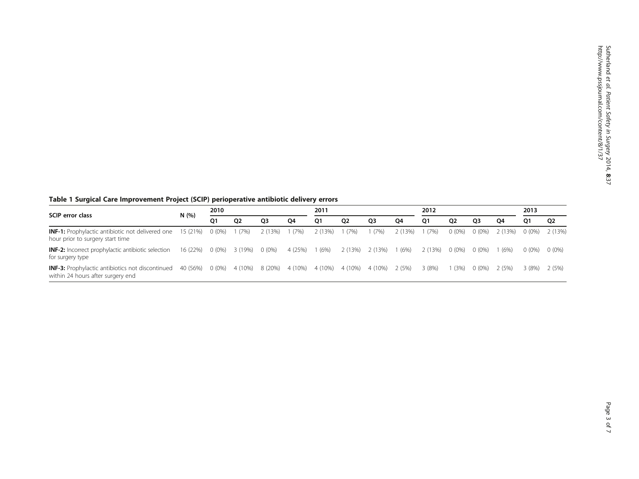# <span id="page-2-0"></span>Table 1 Surgical Care Improvement Project (SCIP) perioperative antibiotic delivery errors

|                                                                                                      | N(%)     | 2010     |           |                | 2011           |                                         |      | 2012            |        |         | 2013     |                |                |          |                |
|------------------------------------------------------------------------------------------------------|----------|----------|-----------|----------------|----------------|-----------------------------------------|------|-----------------|--------|---------|----------|----------------|----------------|----------|----------------|
| <b>SCIP</b> error class                                                                              |          | 01       | <b>O2</b> | O <sub>3</sub> | O <sub>4</sub> | 01                                      | 02   | Q3              | 04     | Q1      | 02       | O <sub>3</sub> | O <sub>4</sub> | O1       | Q <sub>2</sub> |
| <b>INF-1:</b> Prophylactic antibiotic not delivered one 15 (21%)<br>hour prior to surgery start time |          | $0(0\%)$ | 1(7%)     | 2 (13%) 1 (7%) |                | 2 (13%)                                 | (7%) | (7%)            | 2(13%) | 1(7%)   | $0(0\%)$ | $0(0\%)$       | 2 (13%)        | $0(0\%)$ | 2 (13%)        |
| <b>INF-2:</b> Incorrect prophylactic antibiotic selection<br>for surgery type                        | 16 (22%) | $0(0\%)$ | 3 (19%)   | $0(0\%)$       | 4 (25%)        | 1 (6%)                                  |      | 2 (13%) 2 (13%) | (6%)   | 2 (13%) | $0(0\%)$ | $0(0\%)$       | (6%)           | 0 (0%)   | $0(0\%)$       |
| <b>INF-3:</b> Prophylactic antibiotics not discontinued<br>within 24 hours after surgery end         | 40 (56%) | $0(0\%)$ |           |                |                | 4 (10%) 8 (20%) 4 (10%) 4 (10%) 4 (10%) |      | 4 (10%)         | 2 (5%) | 3(8%)   | (3%)     | $0(0\%)$       | 2 (5%)         | 3 (8%)   | 2 (5%)         |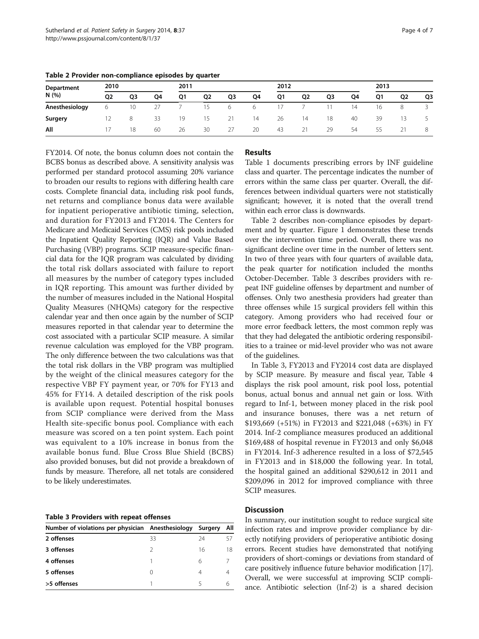| Department<br>N (%) | 2010 |                |    | 2011 |                |    |    | 2012 |                | 2013 |    |    |                |    |
|---------------------|------|----------------|----|------|----------------|----|----|------|----------------|------|----|----|----------------|----|
|                     | 02   | Q <sub>3</sub> | Q4 | Q1   | Q <sub>2</sub> | Q3 | Q4 | Q1   | Q <sub>2</sub> | Q3   | Q4 | Q1 | Q <sub>2</sub> | Q3 |
| Anesthesiology      | 6    | 10             | 27 |      | 15             | 6  | 6  | 17   |                |      | 14 | 16 | 8              |    |
| Surgery             |      | 8              | 33 | 19   | 15             | 21 | 14 | 26   | 14             | 18   | 40 | 39 | 13             |    |
| All                 | 17   | 18             | 60 | 26   | 30             | 27 | 20 | 43   | 21             | 29   | 54 | 55 |                | 8  |

<span id="page-3-0"></span>Table 2 Provider non-compliance episodes by quarter

FY2014. Of note, the bonus column does not contain the BCBS bonus as described above. A sensitivity analysis was performed per standard protocol assuming 20% variance to broaden our results to regions with differing health care costs. Complete financial data, including risk pool funds, net returns and compliance bonus data were available for inpatient perioperative antibiotic timing, selection, and duration for FY2013 and FY2014. The Centers for Medicare and Medicaid Services (CMS) risk pools included the Inpatient Quality Reporting (IQR) and Value Based Purchasing (VBP) programs. SCIP measure-specific financial data for the IQR program was calculated by dividing the total risk dollars associated with failure to report all measures by the number of category types included in IQR reporting. This amount was further divided by the number of measures included in the National Hospital Quality Measures (NHQMs) category for the respective calendar year and then once again by the number of SCIP measures reported in that calendar year to determine the cost associated with a particular SCIP measure. A similar revenue calculation was employed for the VBP program. The only difference between the two calculations was that the total risk dollars in the VBP program was multiplied by the weight of the clinical measures category for the respective VBP FY payment year, or 70% for FY13 and 45% for FY14. A detailed description of the risk pools is available upon request. Potential hospital bonuses from SCIP compliance were derived from the Mass Health site-specific bonus pool. Compliance with each measure was scored on a ten point system. Each point was equivalent to a 10% increase in bonus from the available bonus fund. Blue Cross Blue Shield (BCBS) also provided bonuses, but did not provide a breakdown of funds by measure. Therefore, all net totals are considered to be likely underestimates.

Table 3 Providers with repeat offenses

| Number of violations per physician Anesthesiology Surgery |                  |    | All |
|-----------------------------------------------------------|------------------|----|-----|
| 2 offenses                                                | 33               | 24 | 57  |
| 3 offenses                                                | 2                | 16 | 18  |
| 4 offenses                                                |                  | 6  |     |
| 5 offenses                                                | $\left( \right)$ | 4  |     |
| >5 offenses                                               |                  | 5  |     |
|                                                           |                  |    |     |

# Results

Table [1](#page-2-0) documents prescribing errors by INF guideline class and quarter. The percentage indicates the number of errors within the same class per quarter. Overall, the differences between individual quarters were not statistically significant; however, it is noted that the overall trend within each error class is downwards.

Table 2 describes non-compliance episodes by department and by quarter. Figure [1](#page-4-0) demonstrates these trends over the intervention time period. Overall, there was no significant decline over time in the number of letters sent. In two of three years with four quarters of available data, the peak quarter for notification included the months October-December. Table 3 describes providers with repeat INF guideline offenses by department and number of offenses. Only two anesthesia providers had greater than three offenses while 15 surgical providers fell within this category. Among providers who had received four or more error feedback letters, the most common reply was that they had delegated the antibiotic ordering responsibilities to a trainee or mid-level provider who was not aware of the guidelines.

In Table 3, FY2013 and FY2014 cost data are displayed by SCIP measure. By measure and fiscal year, Table [4](#page-5-0) displays the risk pool amount, risk pool loss, potential bonus, actual bonus and annual net gain or loss. With regard to Inf-1, between money placed in the risk pool and insurance bonuses, there was a net return of \$193,669 (+51%) in FY2013 and \$221,048 (+63%) in FY 2014. Inf-2 compliance measures produced an additional \$169,488 of hospital revenue in FY2013 and only \$6,048 in FY2014. Inf-3 adherence resulted in a loss of \$72,545 in FY2013 and in \$18,000 the following year. In total, the hospital gained an additional \$290,612 in 2011 and \$209,096 in 2012 for improved compliance with three SCIP measures.

#### **Discussion**

In summary, our institution sought to reduce surgical site infection rates and improve provider compliance by directly notifying providers of perioperative antibiotic dosing errors. Recent studies have demonstrated that notifying providers of short-comings or deviations from standard of care positively influence future behavior modification [[17](#page-6-0)]. Overall, we were successful at improving SCIP compliance. Antibiotic selection (Inf-2) is a shared decision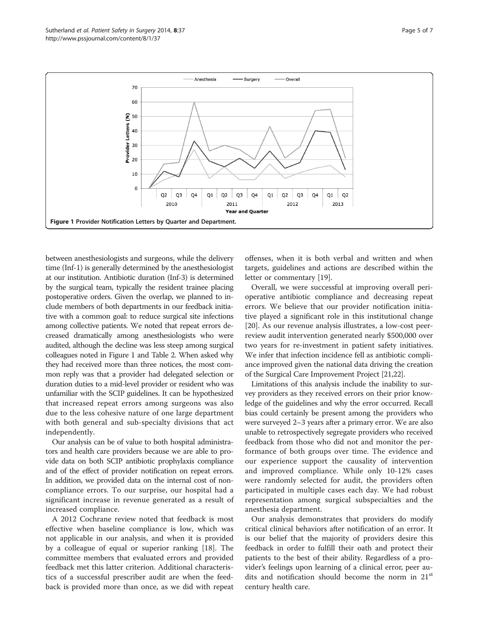between anesthesiologists and surgeons, while the delivery time (Inf-1) is generally determined by the anesthesiologist at our institution. Antibiotic duration (Inf-3) is determined by the surgical team, typically the resident trainee placing postoperative orders. Given the overlap, we planned to include members of both departments in our feedback initiative with a common goal: to reduce surgical site infections among collective patients. We noted that repeat errors decreased dramatically among anesthesiologists who were audited, although the decline was less steep among surgical colleagues noted in Figure 1 and Table [2](#page-3-0). When asked why they had received more than three notices, the most common reply was that a provider had delegated selection or duration duties to a mid-level provider or resident who was unfamiliar with the SCIP guidelines. It can be hypothesized that increased repeat errors among surgeons was also due to the less cohesive nature of one large department with both general and sub-specialty divisions that act independently.

Our analysis can be of value to both hospital administrators and health care providers because we are able to provide data on both SCIP antibiotic prophylaxis compliance and of the effect of provider notification on repeat errors. In addition, we provided data on the internal cost of noncompliance errors. To our surprise, our hospital had a significant increase in revenue generated as a result of increased compliance.

A 2012 Cochrane review noted that feedback is most effective when baseline compliance is low, which was not applicable in our analysis, and when it is provided by a colleague of equal or superior ranking [\[18](#page-6-0)]. The committee members that evaluated errors and provided feedback met this latter criterion. Additional characteristics of a successful prescriber audit are when the feedback is provided more than once, as we did with repeat

offenses, when it is both verbal and written and when targets, guidelines and actions are described within the letter or commentary [\[19](#page-6-0)].

Overall, we were successful at improving overall perioperative antibiotic compliance and decreasing repeat errors. We believe that our provider notification initiative played a significant role in this institutional change [[20\]](#page-6-0). As our revenue analysis illustrates, a low-cost peerreview audit intervention generated nearly \$500,000 over two years for re-investment in patient safety initiatives. We infer that infection incidence fell as antibiotic compliance improved given the national data driving the creation of the Surgical Care Improvement Project [\[21,22\]](#page-6-0).

Limitations of this analysis include the inability to survey providers as they received errors on their prior knowledge of the guidelines and why the error occurred. Recall bias could certainly be present among the providers who were surveyed 2–3 years after a primary error. We are also unable to retrospectively segregate providers who received feedback from those who did not and monitor the performance of both groups over time. The evidence and our experience support the causality of intervention and improved compliance. While only 10-12% cases were randomly selected for audit, the providers often participated in multiple cases each day. We had robust representation among surgical subspecialties and the anesthesia department.

Our analysis demonstrates that providers do modify critical clinical behaviors after notification of an error. It is our belief that the majority of providers desire this feedback in order to fulfill their oath and protect their patients to the best of their ability. Regardless of a provider's feelings upon learning of a clinical error, peer audits and notification should become the norm in 21<sup>st</sup> century health care.

<span id="page-4-0"></span>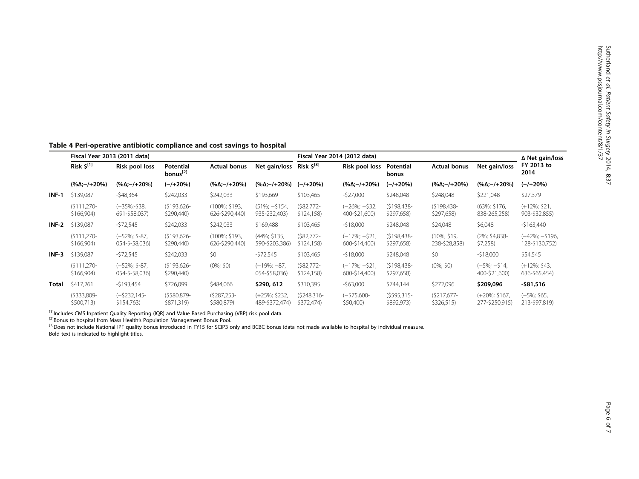|              | Fiscal Year 2013 (2011 data)                      |                                   |                                   |                                 |                                   | Fiscal Year 2014 (2012 data) | ∆ Net gain/loss                  |                              |                                |                                   |                                  |  |
|--------------|---------------------------------------------------|-----------------------------------|-----------------------------------|---------------------------------|-----------------------------------|------------------------------|----------------------------------|------------------------------|--------------------------------|-----------------------------------|----------------------------------|--|
|              | Risk $\boldsymbol{\zeta}^{[1]}$<br>Risk pool loss |                                   | Potential<br>bonus <sup>[2]</sup> | <b>Actual bonus</b>             | Net gain/loss                     | Risk $5^{[3]}$               | Risk pool loss                   | <b>Potential</b><br>bonus    | <b>Actual bonus</b>            | Net gain/loss                     | FY 2013 to<br>2014               |  |
|              | $(\% \Delta; -/+20\%)$                            | (%Δ;–/+20%)                       | $(-/+20%)$                        | $(\% \Delta; -/+20\%)$          | $(\% \Delta := +20\%)$            | $(-/+20%)$                   | $(\% \Delta; -/+20\%)$           | (-/+20%)                     | $(\% \Delta; -/+20\%)$         | $(\% \Delta; - / + 20\%)$         | (–/+20%)                         |  |
| $INF-1$      | \$139,087                                         | $-548,364$                        | \$242,033                         | \$242,033                       | \$193,669                         | \$103,465                    | $-527,000$                       | \$248,048                    | \$248,048                      | \$221,048                         | \$27,379                         |  |
|              | $(S111, 270 -$<br>\$166,904)                      | (-35%;-\$38,<br>691-\$58,037)     | $($193,626-$<br>\$290,440         | (100%; \$193,<br>626-\$290,440) | $(51\%; -\$154,$<br>935-232,403)  | $(S82,772 -$<br>\$124,158)   | $(-26\%; -532,$<br>400-\$21,600) | $(5198, 438 -$<br>\$297,658) | $(5198, 438 -$<br>\$297,658)   | (63%; \$176,<br>838-265,258)      | $(+12\%; $21,$<br>903-\$32,855)  |  |
| $INF-2$      | \$139,087                                         | $-572,545$                        | \$242,033                         | \$242,033                       | \$169,488                         | \$103,465                    | $-518,000$                       | \$248,048                    | \$24,048                       | \$6,048                           | $-$163,440$                      |  |
|              | $(S111, 270 -$<br>\$166,904                       | $(-52\%; $-87,$<br>054-\$-58,036) | $($193,626-$<br>\$290,440         | (100%; \$193,<br>626-\$290,440) | (44%; \$135,<br>590-\$203,386)    | $(S82,772 -$<br>\$124,158)   | $(-17\%; -521)$<br>600-\$14,400) | $(S198.438 -$<br>\$297,658)  | $(10\%; $19,$<br>238-\$28,858) | (2%; \$4,838-<br>\$7,258          | (-42%; -\$196,<br>128-\$130,752) |  |
| $INF-3$      | \$139,087                                         | $-572,545$                        | \$242,033                         | \$0                             | $-572,545$                        | \$103,465                    | $-518,000$                       | \$248,048                    | \$0                            | $-518,000$                        | \$54,545                         |  |
|              | $(S111, 270 -$<br>\$166,904)                      | $(-52\%; $-87,$<br>054-\$-58,036) | $(5193, 626 -$<br>\$290,440)      | $(0\%; $0)$                     | $(-19\%; -87,$<br>054-\$58,036)   | $(S82,772 -$<br>\$124,158)   | $(-17\%; -521,$<br>600-\$14,400) | $(S198, 438 -$<br>\$297,658) | $(0\%; $0)$                    | $(-5\%; -\$14,$<br>400-\$21,600)  | $(+12\%; $43,$<br>636-\$65,454)  |  |
| <b>Total</b> | \$417,261                                         | -\$193,454                        | \$726,099                         | \$484,066                       | \$290, 612                        | \$310,395                    | $-563,000$                       | \$744,144                    | \$272,096                      | \$209,096                         | -\$81,516                        |  |
|              | $(5333,809 -$<br>\$500,713)                       | $(-\$232,145-$<br>\$154,763)      | (\$580,879-<br>\$871,319)         | $(5287, 253 -$<br>\$580,879)    | $(+25\%; $232,$<br>489-\$372,474) | $(5248, 316 -$<br>\$372,474) | $(-575,600 -$<br>\$50,400)       | $(5595,315-$<br>\$892,973)   | $(S217, 677 -$<br>\$326,515    | $(+20\%; $167,$<br>277-\$250,915) | $(-5\%; $65,$<br>213-\$97,819)   |  |

## <span id="page-5-0"></span>Table 4 Peri-operative antibiotic compliance and cost savings to hospital

<sup>171</sup>Includes CMS Inpatient Quality Reporting (IQR) and Value Based Purchasing (VBP) risk pool data.<br><sup>[2]</sup>Bonus to hospital from Mass Health's Population Management Bonus Pool.<br><sup>[3]</sup>Does not include National IPF quality bo Bold text is indicated to highlight titles.